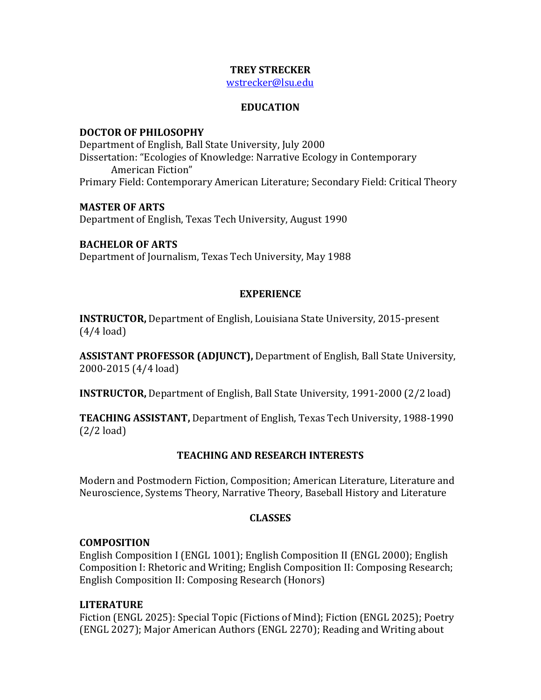## **TREY STRECKER**

[wstrecker@lsu.edu](mailto:wstrecker@lsu.edu)

## **EDUCATION**

#### **DOCTOR OF PHILOSOPHY**

Department of English, Ball State University, July 2000 Dissertation: "Ecologies of Knowledge: Narrative Ecology in Contemporary American Fiction" Primary Field: Contemporary American Literature; Secondary Field: Critical Theory

#### **MASTER OF ARTS**

Department of English, Texas Tech University, August 1990

## **BACHELOR OF ARTS**

Department of Journalism, Texas Tech University, May 1988

# **EXPERIENCE**

**INSTRUCTOR,** Department of English, Louisiana State University, 2015-present (4/4 load)

**ASSISTANT PROFESSOR (ADJUNCT),** Department of English, Ball State University, 2000-2015 (4/4 load)

**INSTRUCTOR,** Department of English, Ball State University, 1991-2000 (2/2 load)

**TEACHING ASSISTANT,** Department of English, Texas Tech University, 1988-1990 (2/2 load)

# **TEACHING AND RESEARCH INTERESTS**

Modern and Postmodern Fiction, Composition; American Literature, Literature and Neuroscience, Systems Theory, Narrative Theory, Baseball History and Literature

# **CLASSES**

# **COMPOSITION**

English Composition I (ENGL 1001); English Composition II (ENGL 2000); English Composition I: Rhetoric and Writing; English Composition II: Composing Research; English Composition II: Composing Research (Honors)

# **LITERATURE**

Fiction (ENGL 2025): Special Topic (Fictions of Mind); Fiction (ENGL 2025); Poetry (ENGL 2027); Major American Authors (ENGL 2270); Reading and Writing about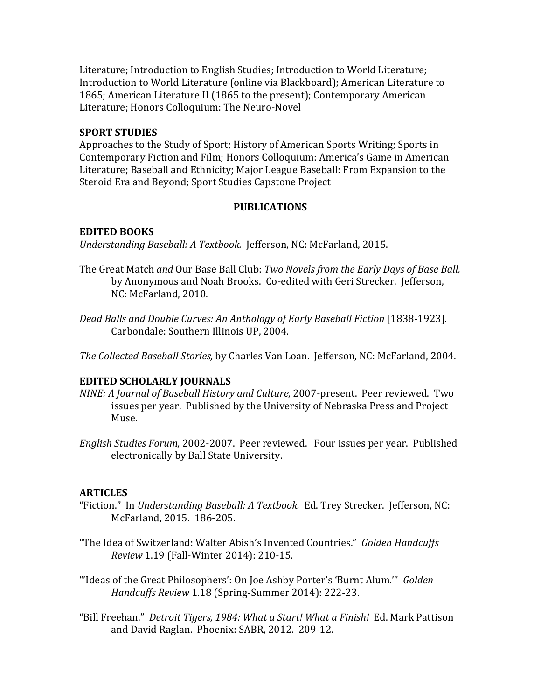Literature; Introduction to English Studies; Introduction to World Literature; Introduction to World Literature (online via Blackboard); American Literature to 1865; American Literature II (1865 to the present); Contemporary American Literature; Honors Colloquium: The Neuro-Novel

## **SPORT STUDIES**

Approaches to the Study of Sport; History of American Sports Writing; Sports in Contemporary Fiction and Film; Honors Colloquium: America's Game in American Literature; Baseball and Ethnicity; Major League Baseball: From Expansion to the Steroid Era and Beyond; Sport Studies Capstone Project

## **PUBLICATIONS**

## **EDITED BOOKS**

*Understanding Baseball: A Textbook.* Jefferson, NC: McFarland, 2015.

- The Great Match *and* Our Base Ball Club: *Two Novels from the Early Days of Base Ball,* by Anonymous and Noah Brooks. Co-edited with Geri Strecker. Jefferson, NC: McFarland, 2010.
- *Dead Balls and Double Curves: An Anthology of Early Baseball Fiction* [1838-1923]. Carbondale: Southern Illinois UP, 2004.

*The Collected Baseball Stories,* by Charles Van Loan. Jefferson, NC: McFarland, 2004.

# **EDITED SCHOLARLY JOURNALS**

- *NINE: A Journal of Baseball History and Culture,* 2007-present. Peer reviewed. Two issues per year. Published by the University of Nebraska Press and Project Muse.
- *English Studies Forum,* 2002-2007. Peer reviewed. Four issues per year. Published electronically by Ball State University.

# **ARTICLES**

- "Fiction." In *Understanding Baseball: A Textbook.* Ed. Trey Strecker. Jefferson, NC: McFarland, 2015. 186-205.
- "The Idea of Switzerland: Walter Abish's Invented Countries." *Golden Handcuffs Review* 1.19 (Fall-Winter 2014): 210-15.
- "'Ideas of the Great Philosophers': On Joe Ashby Porter's 'Burnt Alum.'" *Golden Handcuffs Review* 1.18 (Spring-Summer 2014): 222-23.
- "Bill Freehan." *Detroit Tigers, 1984: What a Start! What a Finish!* Ed. Mark Pattison and David Raglan. Phoenix: SABR, 2012. 209-12.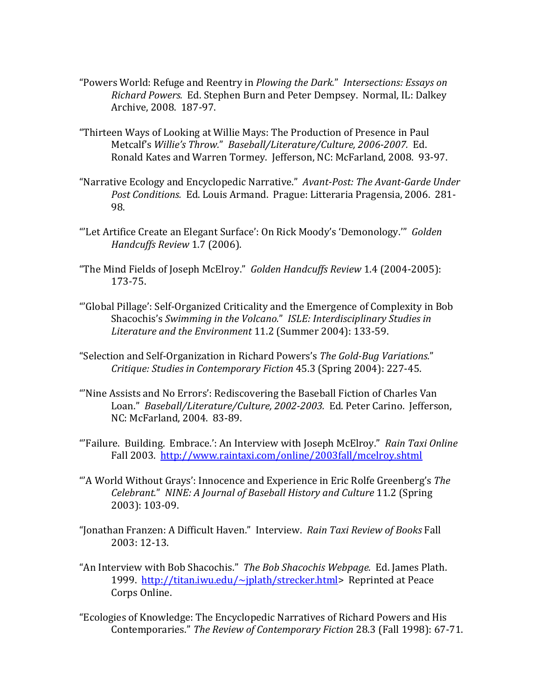- "Powers World: Refuge and Reentry in *Plowing the Dark.*" *Intersections: Essays on Richard Powers.* Ed. Stephen Burn and Peter Dempsey. Normal, IL: Dalkey Archive, 2008. 187-97.
- "Thirteen Ways of Looking at Willie Mays: The Production of Presence in Paul Metcalf's *Willie's Throw.*" *Baseball/Literature/Culture, 2006-2007.* Ed. Ronald Kates and Warren Tormey. Jefferson, NC: McFarland, 2008. 93-97.
- "Narrative Ecology and Encyclopedic Narrative." *Avant-Post: The Avant-Garde Under Post Conditions.* Ed. Louis Armand. Prague: Litteraria Pragensia, 2006. 281- 98.
- "'Let Artifice Create an Elegant Surface': On Rick Moody's 'Demonology.'" *Golden Handcuffs Review* 1.7 (2006).
- "The Mind Fields of Joseph McElroy." *Golden Handcuffs Review* 1.4 (2004-2005): 173-75.
- "'Global Pillage': Self-Organized Criticality and the Emergence of Complexity in Bob Shacochis's *Swimming in the Volcano.*" *ISLE: Interdisciplinary Studies in Literature and the Environment* 11.2 (Summer 2004): 133-59.
- "Selection and Self-Organization in Richard Powers's *The Gold-Bug Variations.*" *Critique: Studies in Contemporary Fiction* 45.3 (Spring 2004): 227-45.
- "'Nine Assists and No Errors': Rediscovering the Baseball Fiction of Charles Van Loan." *Baseball/Literature/Culture, 2002-2003.* Ed. Peter Carino. Jefferson, NC: McFarland, 2004. 83-89.
- "'Failure. Building. Embrace.': An Interview with Joseph McElroy." *Rain Taxi Online* Fall 2003. <http://www.raintaxi.com/online/2003fall/mcelroy.shtml>
- "'A World Without Grays': Innocence and Experience in Eric Rolfe Greenberg's *The Celebrant.*" *NINE: A Journal of Baseball History and Culture* 11.2 (Spring 2003): 103-09.
- "Jonathan Franzen: A Difficult Haven." Interview. *Rain Taxi Review of Books* Fall 2003: 12-13.
- "An Interview with Bob Shacochis." *The Bob Shacochis Webpage.* Ed. James Plath. 1999. [http://titan.iwu.edu/~jplath/strecker.html>](http://titan.iwu.edu/%7Ejplath/strecker.html) Reprinted at Peace Corps Online.
- "Ecologies of Knowledge: The Encyclopedic Narratives of Richard Powers and His Contemporaries." *The Review of Contemporary Fiction* 28.3 (Fall 1998): 67-71.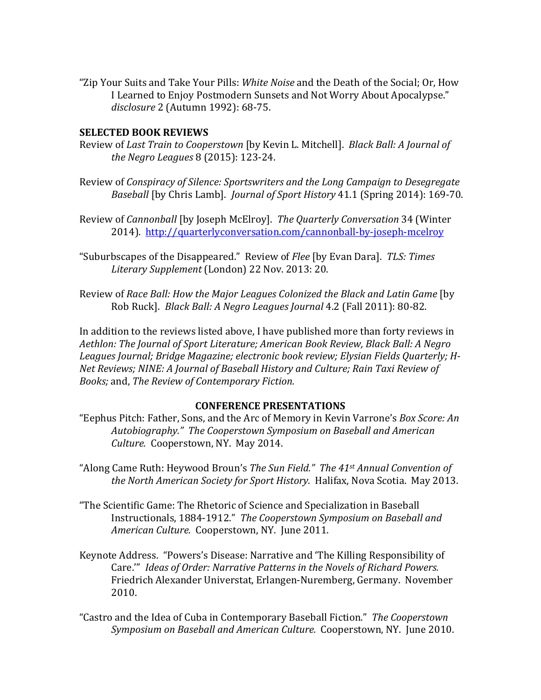"Zip Your Suits and Take Your Pills: *White Noise* and the Death of the Social; Or, How I Learned to Enjoy Postmodern Sunsets and Not Worry About Apocalypse." *disclosure* 2 (Autumn 1992): 68-75.

#### **SELECTED BOOK REVIEWS**

- Review of *Last Train to Cooperstown* [by Kevin L. Mitchell]. *Black Ball: A Journal of the Negro Leagues* 8 (2015): 123-24.
- Review of *Conspiracy of Silence: Sportswriters and the Long Campaign to Desegregate Baseball* [by Chris Lamb]. *Journal of Sport History* 41.1 (Spring 2014): 169-70.
- Review of *Cannonball* [by Joseph McElroy]. *The Quarterly Conversation* 34 (Winter 2014). <http://quarterlyconversation.com/cannonball-by-joseph-mcelroy>
- "Suburbscapes of the Disappeared." Review of *Flee* [by Evan Dara]. *TLS: Times Literary Supplement* (London) 22 Nov. 2013: 20.
- Review of *Race Ball: How the Major Leagues Colonized the Black and Latin Game* [by Rob Ruck]. *Black Ball: A Negro Leagues Journal* 4.2 (Fall 2011): 80-82.

In addition to the reviews listed above, I have published more than forty reviews in *Aethlon: The Journal of Sport Literature; American Book Review, Black Ball: A Negro Leagues Journal; Bridge Magazine; electronic book review; Elysian Fields Quarterly; H-Net Reviews; NINE: A Journal of Baseball History and Culture; Rain Taxi Review of Books;* and, *The Review of Contemporary Fiction.*

#### **CONFERENCE PRESENTATIONS**

- "Eephus Pitch: Father, Sons, and the Arc of Memory in Kevin Varrone's *Box Score: An Autobiography." The Cooperstown Symposium on Baseball and American Culture.* Cooperstown, NY. May 2014.
- "Along Came Ruth: Heywood Broun's *The Sun Field." The 41st Annual Convention of the North American Society for Sport History.* Halifax, Nova Scotia. May 2013.
- "The Scientific Game: The Rhetoric of Science and Specialization in Baseball Instructionals, 1884-1912." *The Cooperstown Symposium on Baseball and American Culture.* Cooperstown, NY. June 2011.
- Keynote Address. "Powers's Disease: Narrative and 'The Killing Responsibility of Care.'" *Ideas of Order: Narrative Patterns in the Novels of Richard Powers.*  Friedrich Alexander Universtat, Erlangen-Nuremberg, Germany. November 2010.
- "Castro and the Idea of Cuba in Contemporary Baseball Fiction." *The Cooperstown Symposium on Baseball and American Culture.* Cooperstown, NY. June 2010.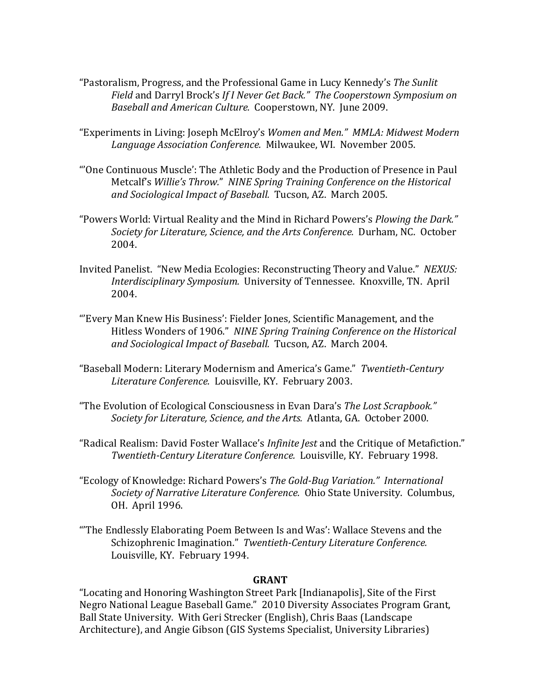- "Pastoralism, Progress, and the Professional Game in Lucy Kennedy's *The Sunlit Field* and Darryl Brock's *If I Never Get Back." The Cooperstown Symposium on Baseball and American Culture.* Cooperstown, NY. June 2009.
- "Experiments in Living: Joseph McElroy's *Women and Men." MMLA: Midwest Modern Language Association Conference.* Milwaukee, WI. November 2005.
- "'One Continuous Muscle': The Athletic Body and the Production of Presence in Paul Metcalf's *Willie's Throw.*" *NINE Spring Training Conference on the Historical and Sociological Impact of Baseball.* Tucson, AZ. March 2005.
- "Powers World: Virtual Reality and the Mind in Richard Powers's *Plowing the Dark." Society for Literature, Science, and the Arts Conference.* Durham, NC. October 2004.
- Invited Panelist. "New Media Ecologies: Reconstructing Theory and Value." *NEXUS: Interdisciplinary Symposium.* University of Tennessee. Knoxville, TN. April 2004.
- "'Every Man Knew His Business': Fielder Jones, Scientific Management, and the Hitless Wonders of 1906." *NINE Spring Training Conference on the Historical and Sociological Impact of Baseball.* Tucson, AZ. March 2004.
- "Baseball Modern: Literary Modernism and America's Game." *Twentieth-Century Literature Conference.* Louisville, KY. February 2003.
- "The Evolution of Ecological Consciousness in Evan Dara's *The Lost Scrapbook." Society for Literature, Science, and the Arts.* Atlanta, GA. October 2000.
- "Radical Realism: David Foster Wallace's *Infinite Jest* and the Critique of Metafiction." *Twentieth-Century Literature Conference.* Louisville, KY. February 1998.
- "Ecology of Knowledge: Richard Powers's *The Gold-Bug Variation." International Society of Narrative Literature Conference.* Ohio State University. Columbus, OH. April 1996.
- "'The Endlessly Elaborating Poem Between Is and Was': Wallace Stevens and the Schizophrenic Imagination." *Twentieth-Century Literature Conference.*  Louisville, KY. February 1994.

#### **GRANT**

"Locating and Honoring Washington Street Park [Indianapolis], Site of the First Negro National League Baseball Game." 2010 Diversity Associates Program Grant, Ball State University. With Geri Strecker (English), Chris Baas (Landscape Architecture), and Angie Gibson (GIS Systems Specialist, University Libraries)